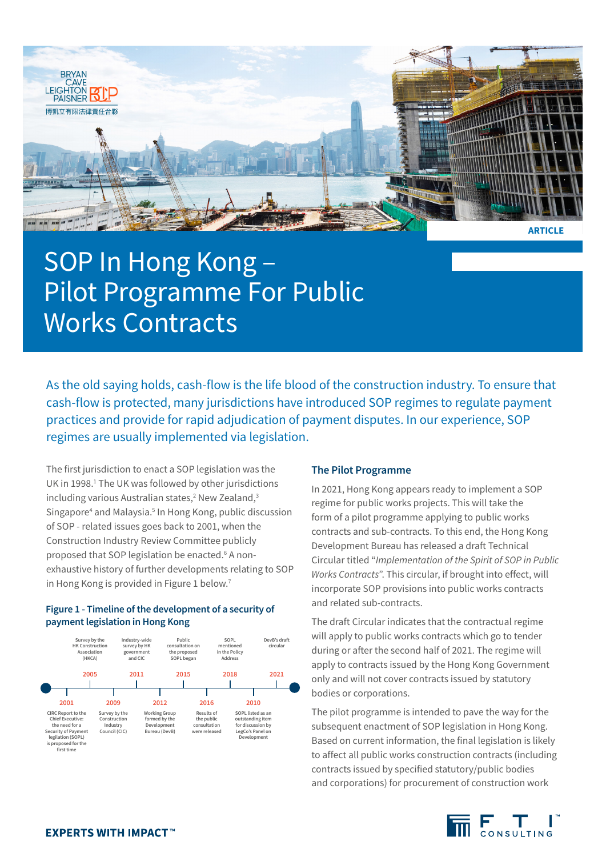

# SOP In Hong Kong -Pilot Programme For Public Works Contracts

As the old saying holds, cash-flow is the life blood of the construction industry. To ensure that cash-flow is protected, many jurisdictions have introduced SOP regimes to regulate payment practices and provide for rapid adjudication of payment disputes. In our experience, SOP regimes are usually implemented via legislation.

The first jurisdiction to enact a SOP legislation was the UK in 1998.<sup>1</sup> The UK was followed by other jurisdictions including various Australian states,<sup>2</sup> New Zealand,<sup>3</sup> Singapore<sup>4</sup> and Malaysia.<sup>5</sup> In Hong Kong, public discussion of SOP - related issues goes back to 2001, when the Construction Industry Review Committee publicly proposed that SOP legislation be enacted.<sup>6</sup> A nonexhaustive history of further developments relating to SOP in Hong Kong is provided in Figure 1 below.<sup>7</sup>

### **Figure 1 - Timeline of the development of a security of payment legislation in Hong Kong**



# **The Pilot Programme**

In 2021, Hong Kong appears ready to implement a SOP regime for public works projects. This will take the form of a pilot programme applying to public works contracts and sub-contracts. To this end, the Hong Kong Development Bureau has released a draft Technical Circular titled "*Implementation of the Spirit of SOP in Public Works Contracts*". This circular, if brought into effect, will incorporate SOP provisions into public works contracts and related sub-contracts.

The draft Circular indicates that the contractual regime will apply to public works contracts which go to tender during or after the second half of 2021. The regime will apply to contracts issued by the Hong Kong Government only and will not cover contracts issued by statutory bodies or corporations.

The pilot programme is intended to pave the way for the subsequent enactment of SOP legislation in Hong Kong. Based on current information, the final legislation is likely to affect all public works construction contracts (including contracts issued by specified statutory/public bodies and corporations) for procurement of construction work

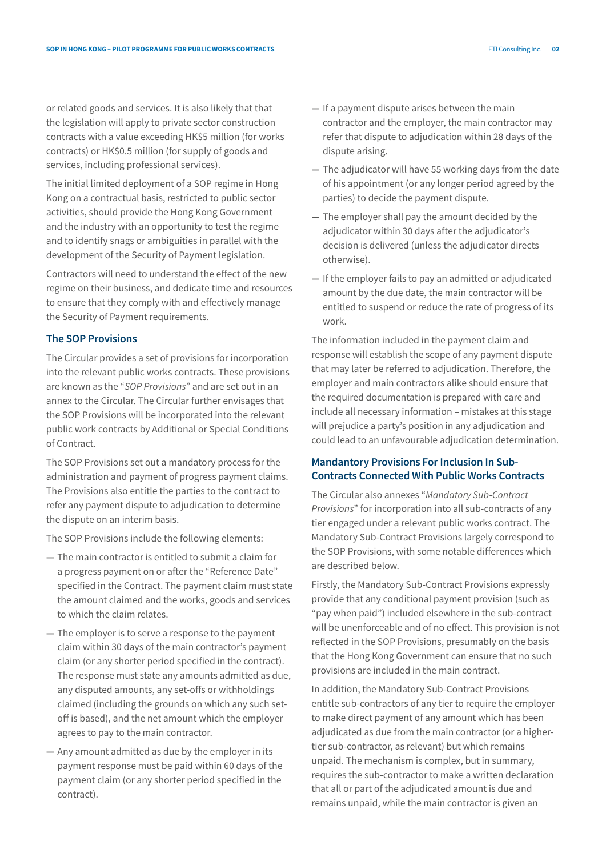or related goods and services. It is also likely that that the legislation will apply to private sector construction contracts with a value exceeding HK\$5 million (for works contracts) or HK\$0.5 million (for supply of goods and services, including professional services).

The initial limited deployment of a SOP regime in Hong Kong on a contractual basis, restricted to public sector activities, should provide the Hong Kong Government and the industry with an opportunity to test the regime and to identify snags or ambiguities in parallel with the development of the Security of Payment legislation.

Contractors will need to understand the effect of the new regime on their business, and dedicate time and resources to ensure that they comply with and effectively manage the Security of Payment requirements.

## **The SOP Provisions**

The Circular provides a set of provisions for incorporation into the relevant public works contracts. These provisions are known as the "*SOP Provisions*" and are set out in an annex to the Circular. The Circular further envisages that the SOP Provisions will be incorporated into the relevant public work contracts by Additional or Special Conditions of Contract.

The SOP Provisions set out a mandatory process for the administration and payment of progress payment claims. The Provisions also entitle the parties to the contract to refer any payment dispute to adjudication to determine the dispute on an interim basis.

The SOP Provisions include the following elements:

- **—** The main contractor is entitled to submit a claim for a progress payment on or after the "Reference Date" specified in the Contract. The payment claim must state the amount claimed and the works, goods and services to which the claim relates.
- **—** The employer is to serve a response to the payment claim within 30 days of the main contractor's payment claim (or any shorter period specified in the contract). The response must state any amounts admitted as due, any disputed amounts, any set-offs or withholdings claimed (including the grounds on which any such setoff is based), and the net amount which the employer agrees to pay to the main contractor.
- **—** Any amount admitted as due by the employer in its payment response must be paid within 60 days of the payment claim (or any shorter period specified in the contract).
- **—** If a payment dispute arises between the main contractor and the employer, the main contractor may refer that dispute to adjudication within 28 days of the dispute arising.
- **—** The adjudicator will have 55 working days from the date of his appointment (or any longer period agreed by the parties) to decide the payment dispute.
- **—** The employer shall pay the amount decided by the adjudicator within 30 days after the adjudicator's decision is delivered (unless the adjudicator directs otherwise).
- **—** If the employer fails to pay an admitted or adjudicated amount by the due date, the main contractor will be entitled to suspend or reduce the rate of progress of its work.

The information included in the payment claim and response will establish the scope of any payment dispute that may later be referred to adjudication. Therefore, the employer and main contractors alike should ensure that the required documentation is prepared with care and include all necessary information – mistakes at this stage will prejudice a party's position in any adjudication and could lead to an unfavourable adjudication determination.

## **Mandantory Provisions For Inclusion In Sub-Contracts Connected With Public Works Contracts**

The Circular also annexes "*Mandatory Sub-Contract Provisions*" for incorporation into all sub-contracts of any tier engaged under a relevant public works contract. The Mandatory Sub-Contract Provisions largely correspond to the SOP Provisions, with some notable differences which are described below.

Firstly, the Mandatory Sub-Contract Provisions expressly provide that any conditional payment provision (such as "pay when paid") included elsewhere in the sub-contract will be unenforceable and of no effect. This provision is not reflected in the SOP Provisions, presumably on the basis that the Hong Kong Government can ensure that no such provisions are included in the main contract.

In addition, the Mandatory Sub-Contract Provisions entitle sub-contractors of any tier to require the employer to make direct payment of any amount which has been adjudicated as due from the main contractor (or a highertier sub-contractor, as relevant) but which remains unpaid. The mechanism is complex, but in summary, requires the sub-contractor to make a written declaration that all or part of the adjudicated amount is due and remains unpaid, while the main contractor is given an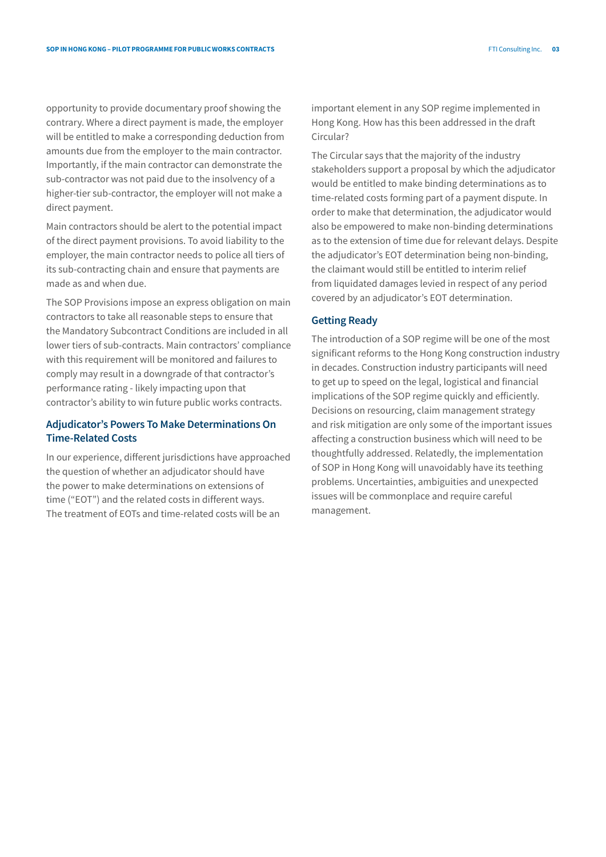opportunity to provide documentary proof showing the contrary. Where a direct payment is made, the employer will be entitled to make a corresponding deduction from amounts due from the employer to the main contractor. Importantly, if the main contractor can demonstrate the sub-contractor was not paid due to the insolvency of a higher-tier sub-contractor, the employer will not make a direct payment.

Main contractors should be alert to the potential impact of the direct payment provisions. To avoid liability to the employer, the main contractor needs to police all tiers of its sub-contracting chain and ensure that payments are made as and when due.

The SOP Provisions impose an express obligation on main contractors to take all reasonable steps to ensure that the Mandatory Subcontract Conditions are included in all lower tiers of sub-contracts. Main contractors' compliance with this requirement will be monitored and failures to comply may result in a downgrade of that contractor's performance rating - likely impacting upon that contractor's ability to win future public works contracts.

# **Adjudicator's Powers To Make Determinations On Time-Related Costs**

In our experience, different jurisdictions have approached the question of whether an adjudicator should have the power to make determinations on extensions of time ("EOT") and the related costs in different ways. The treatment of EOTs and time-related costs will be an

important element in any SOP regime implemented in Hong Kong. How has this been addressed in the draft Circular?

The Circular says that the majority of the industry stakeholders support a proposal by which the adjudicator would be entitled to make binding determinations as to time-related costs forming part of a payment dispute. In order to make that determination, the adjudicator would also be empowered to make non-binding determinations as to the extension of time due for relevant delays. Despite the adjudicator's EOT determination being non-binding, the claimant would still be entitled to interim relief from liquidated damages levied in respect of any period covered by an adjudicator's EOT determination.

#### **Getting Ready**

The introduction of a SOP regime will be one of the most significant reforms to the Hong Kong construction industry in decades. Construction industry participants will need to get up to speed on the legal, logistical and financial implications of the SOP regime quickly and efficiently. Decisions on resourcing, claim management strategy and risk mitigation are only some of the important issues affecting a construction business which will need to be thoughtfully addressed. Relatedly, the implementation of SOP in Hong Kong will unavoidably have its teething problems. Uncertainties, ambiguities and unexpected issues will be commonplace and require careful management.